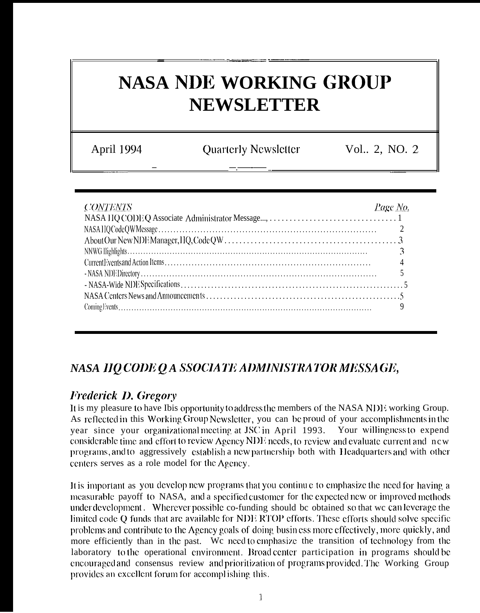# **NASA NDE WORKING GROUP NEWSLETTER**

April 1994

**Quarterly Newsletter** 

Vol., 2, NO. 2

| <b>CONTENTS</b> | Page No. |
|-----------------|----------|
|                 |          |
|                 |          |
|                 |          |
|                 |          |
|                 |          |
|                 |          |
|                 |          |
|                 |          |

# NASA HO CODE O A SSOCIATE ADMINISTRATOR MESSAGE,

# **Frederick D. Gregory**

It is my pleasure to have Ibis opportunity to address the members of the NASA NDE working Group. As reflected in this Working Group Newsletter, you can be proud of your accomplishments in the year since your organizational meeting at JSC in April 1993. Your willingness to expend considerable time and effort to review Agency NDE needs, to review and evaluate current and new programs, and to aggressively establish a new partnership both with Headquarters and with other centers serves as a role model for the Agency.

It is important as you develop new programs that you continue to emphasize the need for having a measurable payoff to NASA, and a specified customer for the expected new or improved methods under development. Wherever possible co-funding should be obtained so that we can leverage the limited code Q funds that are available for NDE RTOP efforts. These efforts should solve specific problems and contribute to the Agency goals of doing busin ess more effectively, more quickly, and more efficiently than in the past. We need to emphasize the transition of technology from the laboratory to the operational environment. Broad center participation in programs should be encouraged and consensus review and prioritization of programs provided. The Working Group provides an excellent forum for accomplishing this.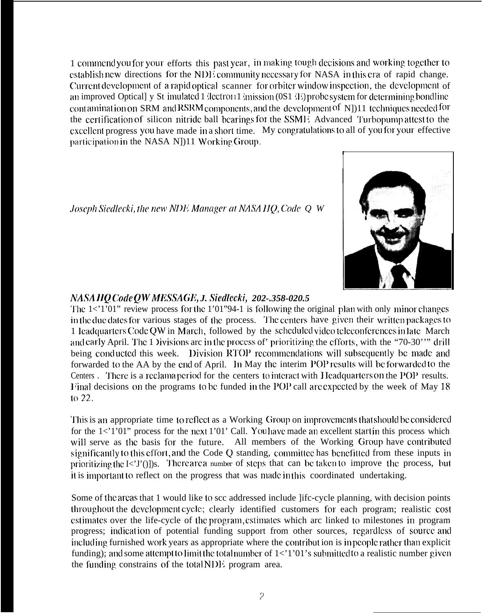1 commend you for your efforts this past year, in making tough decisions and working together to establish new directions for the NDE community necessary for NASA in this era of rapid change. Current development of a rapid optical scanner for orbiter window inspection, the development of an improved Optical] y St imulated 1 dectroi11 mission (0S1 de) probe system for determining bondline contamination on SRM and RSRM components, and the development of  $N(11)$  techniques needed for the certification of silicon nitride ball bearings for the SSME Advanced Turbopump attest to the excellent progress you have made in a short time. My congratulations to all of you for your effective participation in the NASA N])11 Working Group.

Joseph Siedlecki, the new NDE Manager at NASA HQ, Code Q W



# NASA HQ Code QW MESSAGE, J. Siedlecki, 202-.358-020.5

The  $1 \lt 1$  1'01" review process for the 1'01"94-1 is following the original plan with only minor changes in the due dates for various stages of the process. The centers have given their written packages to 1 Icadquarters Code QW in March, followed by the scheduled video teleconferences in late March and early April. The 1 Divisions are in the process of' prioritizing the efforts, with the "70-30" drill being conducted this week. Division RTOP recommendations will subsequently be made and forwarded to the AA by the end of April. In May the interim POP results will be forwarded to the Centers. There is a reclama period for the centers to interact with Headquarters on the POP results. Final decisions on the programs to be funded in the POP call are expected by the week of May 18 to  $22.$ 

This is an appropriate time to reflect as a Working Group on improvements that should be considered for the  $1 < 1$  1'01" process for the next 1'01' Call. You have made an excellent start in this process which will serve as the basis for the future. All members of the Working Group have contributed significantly to this effort, and the Code Q standing, committed has benefitted from these inputs in prioritizing the I<'I'()])s. There are a number of steps that can be taken to improve the process, but it is important to reflect on the progress that was made in this coordinated undertaking.

Some of the areas that 1 would like to scc addressed include life-cycle planning, with decision points throughout the development cycle; clearly identified customers for each program; realistic cost estimates over the life-cycle of the program, estimates which are linked to milestones in program progress; indication of potential funding support from other sources, regardless of source and including furnished work years as appropriate where the contribut ion is in people rather than explicit funding); and some attempt to limit the total number of  $1 < 1'01'$  s submitted to a realistic number given the funding constrains of the total NDE program area.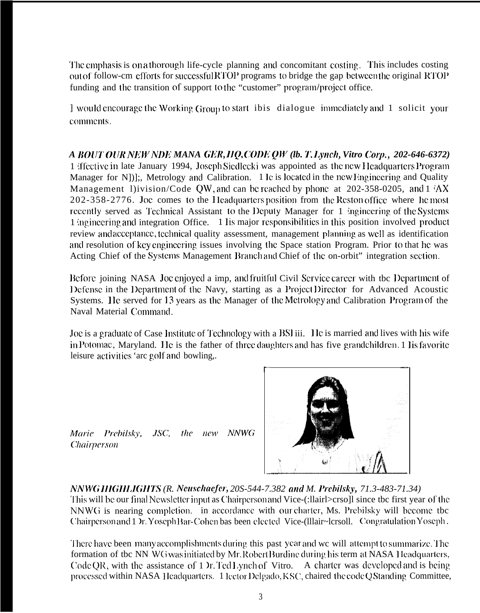The emphasis is on a thorough life-cycle planning and concomitant costing. This includes costing out of follow-cm cfforts for successful RTOP programs to bridge the gap between the original RTOP funding and the transition of support to the "customer" program/project office.

] would encourage the Working Group to start ibis dialogue immediately and 1 solicit your comments.

*A lJOIJT Ol]R NI{WNI)E MANA (XX, IIQ, C'ODl QW (lb. T. I.Jwc1), Vitro CorIj., 202-646-6372)* 1 iffective in late January 1994, Joseph Siedlecki was appointed as the new Headquarters Program Manager for N])];, Metrology and Calibration. 1 lc is located in the new Engineering and Quality Management 1)ivision/Code QW, and can be reached by phone at 202-358-0205, and  $1/\Delta X$  $202-358-2776$ . Joe comes to the Headquarters position from the Reston office where he most recently served as Technical Assistant to the Deputy Manager for 1 ingineering of the Systems 1 inginecring and integration Office. 1 lis major responsibilities in this position involved product review and acccpiancc, tcclmical quality assessment, management planning as well as identification and resolution of key engineering issues involving the Space station Program. Prior to that he was Acting Chief of the Systems Management Branch and Chief of the on-orbit" integration section.

Before joining NASA Joe enjoyed a imp, and fruitful Civil Service career with tbc Department of 1 Defense in the Department of the Navy, starting as a Project Director for Advanced Acoustic Systems. He served for 13 years as the Manager of the Metrology and Calibration Program of the Naval Material Gmmand.

Joe is a graduate of Case Institute of Technology with a BSI iii. Ile is married and lives with his wife in Potomac, Maryland. He is the father of three daughters and has five grandchildren. 1 lis favorite leisure activities 'arc golf and bowling,.

Marie Prebilsky,  $JSC$ . the new NNWG **Chairperson** 



A1A7WG *lIIGlll.KillTS' (R. Ncusclmfer; 20S-544-7.382 cud M. l)rd~ilsk>~, 71.3-483-71.34)*

This will be our final Newsletter input as Chairperson and Vice-(:llairl>crso]l since tbc first year of the NNWG is nearing completion. in accordance with our charter, Ms. Prebilsky will become tbc Chairperson and 1 Yr. Yoseph Bar-Cohen bas been elected Vice-(Illair~lcrsoll. Congratulation Yoseph.

There have been many accomplishments during this past year and we will attempt to summarize. The formation of tbc NN WG was initiated by Mr. Robert Burdine during his term at NASA 1 leadquarters, Code QR, with the assistance of 1  $\pi$ . Ted Lynch of Vitro. A charter was developed and is being processed within NASA Headquarters. 1 lector Delgado, KSC, chaired the code Q Standing Committee,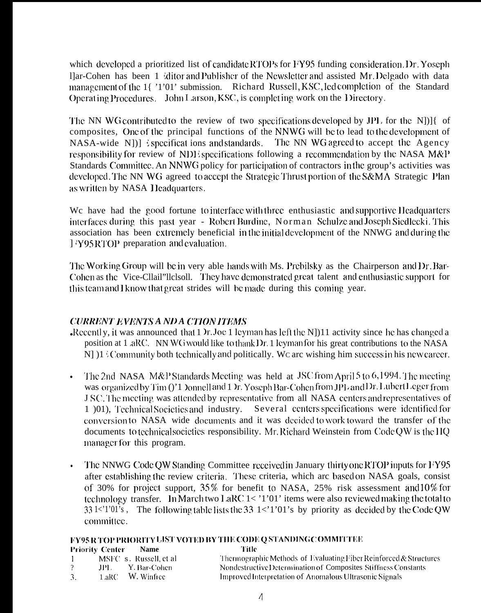which developed a prioritized list of candidate RTOPs for FY95 funding consideration. Dr. Yoseph I ar-Cohen has been 1 kilitor and Publisher of the Newsletter and assisted Mr. Delgado with data management of the 14 '1'01' submission. Richard Russell, KSC, led completion of the Standard Operating Procedures. John Larson, KSC, is completing work on the Directory.

The NN WG contributed to the review of two specifications developed by JPL for the N[1] of composites, One of the principal functions of the NNWG will be to lead to the development of NASA-wide N])] specificat ions and standards. The NN WG agreed to accept the Agency responsibility for review of NDE specifications following a recommendation by the NASA M&P Standards Committee. An NNWG policy for participation of contractors in the group's activities was developed. The NN WG agreed to accept the Strategic Thrust portion of the S&MA Strategic Plan as written by NASA Headquarters.

We have had the good fortune to interface with three enthusiastic and supportive Headquarters interfaces during this past year - Robert Burdine, Norman Schulze and Joseph Siedlecki. This association has been extremely beneficial in the initial development of the NNWG and during the [?Y95RTOP preparation and evaluation.]

The Working Group will be in very able hands with Ms. Prebilsky as the Chairperson and Dr. Bar-Cohen as the Vice-Cllail''Ilclsoll. They have demonstrated great talent and enthusiastic support for this team and I know that great strides will be made during this coming year.

#### **CURRENT EVENTS A ND A CTION ITEMS**

- Recently, it was announced that  $1$  )r. Joe  $1$  leyman has left the N $[1]$  activity since he has changed a position at 1 .aRC. NN WG would like to thank Dr. 1 leyman for his great contributions to the NASA N]  $[1]$  Community both technically and politically. We are wishing him success in his new career.
- The 2nd NASA M&P Standards Meeting was held at JSC from April 5 to 6,1994. The meeting  $\bullet$ was organized by Tim ()'1 Jonnell and 1 Jr. Yoseph Bar-Cohen from JPI, and Dr. Lubert Leger from J SC. The meeting was attended by representative from all NASA centers and representatives of 1 (01), Technical Societies and industry. Several centers specifications were identified for conversion to NASA wide documents and it was decided to work toward the transfer of the documents to technical societies responsibility. Mr. Richard Weinstein from Code OW is the HQ manager for this program.
- The NNWG Code QW Standing Committee received in January thirty one RTOP inputs for FY95 after establishing the review criteria. These criteria, which are based on NASA goals, consist of 30% for project support, 35% for benefit to NASA, 25% risk assessment and 10% for technology transfer. In March two LaRC 1< '1'01' items were also reviewed making the total to  $331 \lt 1$  and  $101$  is the following table lists the 33 1  $\lt 1$  and  $101$  is by priority as decided by the Code QW committee.

|                        |             | <b>FY95 R TOP PRIORITY LIST VOTED BY THE CODE Q STANDING COMMITTEE</b> |
|------------------------|-------------|------------------------------------------------------------------------|
| <b>Priority Center</b> | <b>Name</b> | Title                                                                  |
|                        |             |                                                                        |

| MSFC s. Russell, et al. | Thermographic Methods of Evaluating Fiber Reinforced & Structures |
|-------------------------|-------------------------------------------------------------------|
| - Y. Bar-Cohen-<br>JPL. | Nondestructive Determination of Composites Stiffness Constants    |
| 1.aRC W. Winfiee        | Improved Interpretation of Anomalous Ultrasonic Signals           |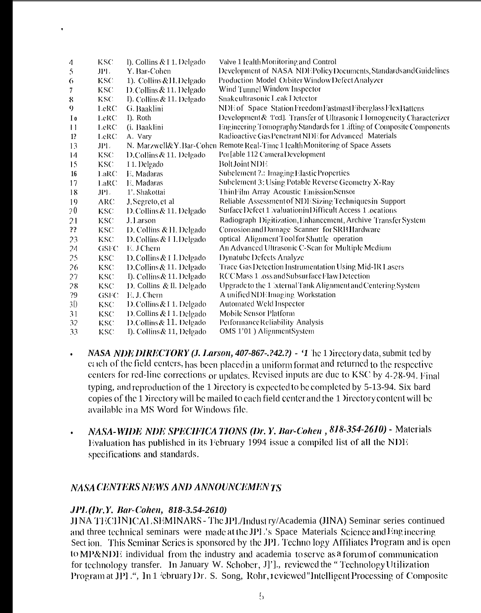| 4              | <b>KSC</b>  | 1). Collins & I 1. Delgado   | Valve 1 Icalth Monitoring and Control                                        |
|----------------|-------------|------------------------------|------------------------------------------------------------------------------|
| 5              | JPL.        | Y. Bar-Cohen                 | Development of NASA NDEPolicyDocuments, Standards and Guidelines             |
| 6              | <b>KSC</b>  | 1). Collins & H. Delgado     | Production Model Orbiter Window Defect Analyzer                              |
| 7              | KSC.        | D. Collins & 11. Delgado     | Wind Tunnel Window Inspector                                                 |
| 8              | KSC.        | I). Collins & 11. Delgado    | Snake ultrasonic Leak Detector                                               |
| 9              | LeRC        | G. Baaklini                  | NDE of Space Station Freedom Fastmast Fiberglass Flex Battens                |
| $I_0$          | LeRC        | I). Roth                     | Development & Teel]. Transfer of Ultrasonic I lomogeneity Characterizer      |
| 11             | LeRC.       | (i. Baaklini                 | Engineering Tomography Standards for 1 .ifting of Composite Components       |
| 1?             | LeRC        | A. Vary                      | Radioactive Gas Penetrant NDE for Advanced Materials                         |
| 13             | JPL.        |                              | N. Marzwell&Y.Bar-Cohen Remote Real-Time 1 Icalth Monitoring of Space Assets |
| 14             | KSC.        | D.Collins & 11. Delgado      | Poi [able 112 Camera Development                                             |
| 15             | KSC.        | I 1. Delgado                 | <b>Bolt Joint NDE</b>                                                        |
| 16             | LaRC        | E. Madaras                   | Subelement ?.: Imaging Elastic Properties                                    |
| 17             | LaRC        | E. Madaras                   | Subelement 3: Using Potable Reverse Geometry X-Ray                           |
| 18             | JPL.        | 1'. Shakottai                | Thin Film Array Acoustic Emission Sensor                                     |
| 19             | <b>ARC</b>  | J. Segreto, et al            | Reliable Assessment of NDE Sizing Techniques in Support                      |
| 20             | KSC.        | D. Collins $& 11$ . Delgado  | SurfaceDefect 1 valuation in Difficult Access 1 ocations                     |
| 21             | <b>KSC</b>  | J. Larson                    | Radiograph Digitization, Enhancement, Archive Transfer System                |
| ??             | KSC.        | D. Collins & H. Delgado      | Corrosion and Damage Scanner for SRB Hardware                                |
| 23             | KSC.        | D. Collins & I L. Delgado    | optical Alignment Tool for Shuttle operation                                 |
| 24             | <b>GSFC</b> | E. J Chern                   | An Advanced Ultrasonic C-Scan for Multiple Medium                            |
| 25             | KSC.        | D. Collins & I I. Delgado    | Dynatube Defects Analyze                                                     |
| 26             | <b>KSC</b>  | D. Collins & 11. Delgado     | Trace Gas Detection Instrumentation Using Mid-IR Lasers                      |
| 27             | KSC.        | I). Collins & 11. Delgado    | RCC Mass 1, oss and Subsurface Flaw Detection                                |
| 28             | KSC.        | D. Collins & Il. Delgado     | Upgrade to the 1 bxternal Tank Alignment and Centering System                |
| ?9             | GSFC        | E. J. Chern                  | A unified NDE Imaging Workstation                                            |
| 3 <sub>0</sub> | KSC.        | D. Collins & I 1. Delgado    | Automated Weld Inspector                                                     |
| 31             | KSC.        | D. Collins & I 1. Delgado    | Mobile Sensor Platform                                                       |
| 32             | KSC.        | D.Collins & 11. Delgado      | Performance Reliability Analysis                                             |
| 33             | KSC         | I). Collins $\&$ 11, Delgado | OMS 1'01) Alignment System                                                   |

- NASA NDE DIRECTORY (J. Larson, 407-867-.?42.?) '1 he 1 Directory data, submit ted by each of the field centers, has been placed in a uniform format and returned to the respective centers for red-line corrections  $\alpha$  updates. Revised inputs are due to KSC by 4-28-94. Final typing, and reproduction of the 1 Directory is expected to be completed by 5-13-94. Six bard copies of the 1 ) irrectory will be mailed to each field center and the 1 ) irrectory content will be available in a MS Word for Windows file.
- NASA-WIDE NDE SPECIFICA TIONS (Dr. Y. Bar-Cohen, 818-354-2610) Materials  $\bullet$ Evaluation has published in its February 1994 issue a compiled list of all the NDE specifications and standards.

#### NASA CENTERS NEWS AND ANNOUNCEMENTS

#### **JPL**(Dr.Y. Bar-Cohen, 818-3.54-2610)

JJNA TECHNICAL SEMINARS - The JPL/Indust ry/Academia (JINA) Seminar series continued and three technical seminars were made at the JPL's Space Materials Science and Engineering Section. This Seminar Series is sponsored by the JPL Technology Affiliates Program and is open to MP&NDE individual from the industry and academia to serve as a forum of communication for technology transfer. In January W. Schober, J]']., reviewed the "Technology Utilization Program at JPI.", In 1 'ebruary Dr. S. Song, Rohr, reviewed "Intelligent Processing of Composite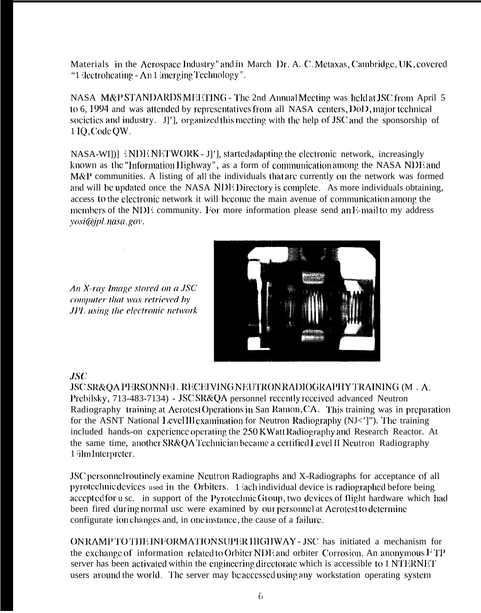Materials in the Acrospace Industry" and in March Dr. A. C. Metaxas, Cambridge, UK, covered "1 dectroheating - An 1 imerging Technology".

NASA M&P STANDARDSMEETING - The 2nd Annual Meeting was held at JSC from April 5 to 6, 1994 and was attended by representatives from all NASA centers, Dol 2, major technical societics and industry. J'], organized this meeting with the help of JSC and the sponsorship of 1 IQ, Code QW.

NASA-WI)] NDENETWORK - J]'], started adapting the electronic network, increasingly known as the "Information Highway", as a form of communication among the NASA NDE and M&P communities. A listing of all the individuals that are currently on the network was formed and will be updated once the NASA NDE Directory is complete. As more individuals obtaining, access to the electronic network it will become the main avenue of communication among the members of the NDE community. For more information please send an E-mail to my address yosi@jpl.nasa.gov.



An X-ray Image stored on a JSC computer that was retrieved by JPL using the electronic network

#### **JSC**

**JSC SR&OA PERSONNEL RECEIVING NEUTRON RADIOGRAPHY TRAINING (M.A.** Prebilsky, 713-483-7134) - JSCSR&QA personnel recently received advanced Neutron Radiography training at Aerotest Operations in San Ramon, CA. This training was in preparation for the ASNT National LevelIII examination for Neutron Radiography (NJ<']"). The training included hands-on experience operating the 250 KWatt Radiography and Research Reactor. At the same time, another SR&QA Technician became a certified Level II Neutron Radiography 1 ilm Interpreter.

JSC personnel routinely examine Neutron Radiographs and X-Radiographs for acceptance of all pyrotechnic devices used in the Orbiters. 1 ach individual device is radiographed before being accepted for u sc. in support of the Pyrotechnic Group, two devices of flight hardware which had been fired during normal usc were examined by our personnel at Aerotest to determine configurate ion changes and, in one instance, the cause of a failure.

ONRAMP TO THE INFORMATION SUPER HIGHWAY - JSC has initiated a mechanism for the exchange of information related to Orbiter NDE and orbiter Corrosion. An anonymous  $FTP$ server has been activated within the engineering directorate which is accessible to 1 NTERNET users around the world. The server may be accessed using any workstation operating system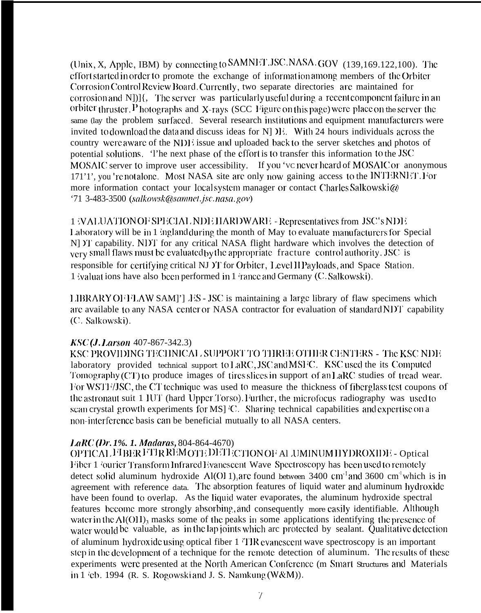(Unix, X, Apple, IBM) by connecting to SAMNET JSC.NASA.GOV (139,169.122,100). The effort started in order to promote the exchange of information among members of the Orbiter Corrosion Control Review Board. Currently, two separate directories are maintained for corrosion and N $]$ ] $[$ , The server was particularly useful during a recent component failure in an orbiter thruster. P hotographs and X-rays (SCC Figure on this page) were place on the server the same (lay the problem surfaced. Several research institutions and equipment manufacturers were invited to download the data and discuss ideas for N IE. With 24 hours individuals across the country were aware of the NDE issue and uploaded back to the server sketches and photos of potential solutions. The next phase of the effort is to transfer this information to the JSC MOSAIC server to improve user accessibility. If you 've never heard of MOSAIC or anonymous 171'1', you 'renotalone. Most NASA site are only now gaining access to the INTERNET. For more information contact your local system manager or contact Charles Salkowski@ '71 3-483-3500 (salkowsk@samnet.jsc.nasa.gov)

1 (VALUATION OF SPECIAL NDE HARDWARE - Representatives from JSC's NDE Laboratory will be in 1 ingland during the month of May to evaluate manufacturers for Special NDT capability. NDT for any critical NASA flight hardware which involves the detection of very small flaws must be evaluated by the appropriate fracture control authority. JSC is responsible for certifying critical NJ YI for Orbiter, Level II Payloads, and Space Station. 1 ivaluations have also been performed in 1 irance and Germany (C. Salkowski).

LIBRARY OFFLAW SAMP [ES - JSC is maintaining a large library of flaw specimens which are available to any NASA center or NASA contractor for evaluation of standard NDT capability (C. Salkowski).

#### KSC (*J. Larson* 407-867-342.3)

KSC PROVIDING TECHNICAL SUPPORT TO THREE OTHER CENTERS - The KSC NDE laboratory provided technical support to LaRC, JSC and MSFC. KSC used the its Computed Tomography (CT) to produce images of tires slices in support of an LaRC studies of tread wear. For WSTF/JSC, the CT technique was used to measure the thickness of fiberglass test coupons of the astronaut suit 1 IUT (hard Upper Torso). Further, the microfocus radiography was used to scan crystal growth experiments for MS] C. Sharing technical capabilities and expertise on a non-interference basis can be beneficial mutually to all NASA centers.

#### LaRC (Dr. 1%. 1. Madaras, 804-864-4670)

OPTICAL FIBER FTIR RÉMOTE DETECTION OF AL UMINUM HYDROXIDE - Optical Fiber 1 fourier Transform Infrared Evanescent Wave Spectroscopy has been used to remotely detect solid aluminum hydroxide  $\Lambda$ l(Ol 1), are found between 3400 cm<sup>-1</sup> and 3600 cm<sup>-1</sup> which is in agreement with reference data. The absorption features of liquid water and aluminum hydroxide have been found to overlap. As the liquid water evaporates, the aluminum hydroxide spectral features become more strongly absorbing and consequently more easily identifiable. Although water in the  $\Lambda$ I(OII)<sub>3</sub> masks some of the peaks in some applications identifying the presence of water would be valuable, as in the lap joints which are protected by sealant. Qualitative detection of aluminum hydroxide using optical fiber 1 TIR evanescent wave spectroscopy is an important step in the development of a technique for the remote detection of aluminum. The results of these experiments were presented at the North American Conference (m Smart Structures and Materials in 1  $\text{`eb. } 1994$  (R. S. Rogowski and J. S. Namkung (W&M)).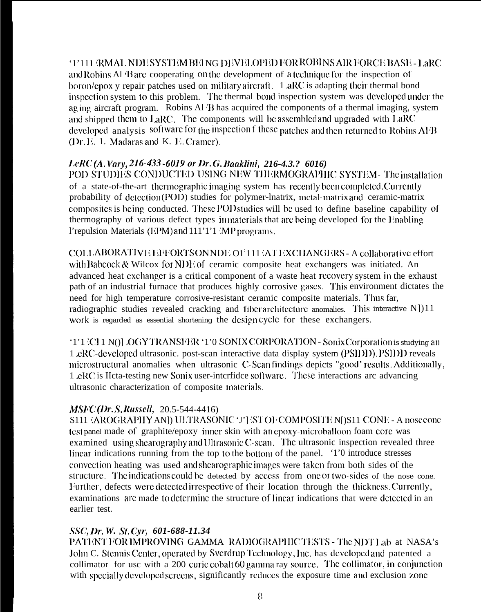'1'111 GRMAL. NDE SYSTEM BEING DEVELOPED FOR ROBINS AIR FORCE BASE - LaRC and Robins Al 'Bare cooperating on the development of a technique for the inspection of boron/cpox y repair patches used on military aircraft. 1  $\alpha$ RC is adapting their thermal bond inspection system to this problem. The thermal bond inspection system was developed under the ag ing aircraft program. Robins Al  $\langle B \rangle$  has acquired the components of a thermal imaging, system and shipped them to  $L<sub>a</sub>RC$ . The components will be assembled and upgraded with  $L<sub>a</sub>RC$ developed analysis software for the inspection f these patches and then returned to Robins  $\rm{AIB}$  $(Dr. E. 1.$  Madaras and K.  $E.$  Cramer).

# *lxi (A, Vary, 216-433 -6019 or Dr. G. Baaklini, 216-4.3.? 6016)*

POD STUDIES CONDUCTED USING NEW TILERMOGRAPHIC SYSTEM - The installation of a state-of-the-art thermographic imaging system has recently been completed. Currently probability of detection (POD) studies for polymer-lnatrix, metal-matrix and ceramic-matrix composites is being conducted. These POD studies will be used to define baseline capability of thermography of various defect types in materials that are being developed for the Enabling l'repulsion Materials ( $EPM$ ) and  $111'1'1$   $MP$  programs.

COLLABORATIVE HITORTS ON NDE O1:111 AT EXCHANGERS - A collaborative effort with Babcock  $&$  Wilcox for NDE of ceramic composite heat exchangers was initiated. An advanced heat exchanger is a critical component of a waste heat recovery system in the exhaust path of an industrial furnace that produces highly corrosive gases. This environment dictates the need for high temperature corrosive-resistant ceramic composite materials. '1'hus far, radiographic studies revealed cracking and fiber architecture anomalies. This interactive  $N$ ])11 work is regarded as essential shortening the design cycle for these exchangers.

'1'1 (CI 1 N()] OGY TRANSI FR '1'0 SONIX CORPORATION - Sonix Corporation is studying an 1 cRC-developed ultrasonic. post-scan interactive data display system (PSIDI)). PSIDI reveals microstructural anomalies when ultrasonic C-Scan findings depicts "good" results. Additionally, 1 .eRC is IIcta-testing new Sonix user-intcrfidce software. These interactions arc advancing ultrasonic characterization of composite materials.

## *MSFC (Dr. S. Russell, 20.5-544-4416)*

S111 IAROGRAPHY AN]) ULTRASONIC 'J'] IST OF COMPOSITE N[)S11 CONE - A nosecone test panel made of graphite/epoxy inner skin with an epoxy-microballoon foam core was examined using shearography and Ultrasonic C-scan. The ultrasonic inspection revealed three linear indications running from the top to the bottom of the panel.  $1'0$  introduce stresses convection heating was used and shearographic images were taken from both sides of the structure. The indications could be detected by access from one or two-sides of the nose cone. Further, defects were detected irrespective of their location through the thickness. Currently, examinations are made to determine the structure of linear indications that were detected in an earlier test.

## *SSC, Dr. W. St. Cyr, 601-688-11.34*

PATENT FOR IMPROVING GAMMA RADIOGRAPHIC TESTS - The NDT Lab at NASA's John C. Stennis Center, operated by Sverdrup Technology, Inc. has developed and patented a collimator for usc with a 200 curie cobalt 60 gamma ray source. The collimator, in conjunction with specially developed screens, significantly reduces the exposure time and exclusion zone